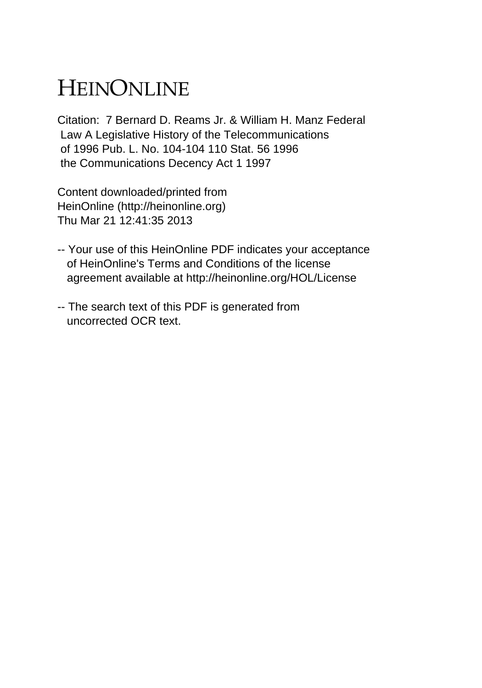# HEINONLINE

Citation: 7 Bernard D. Reams Jr. & William H. Manz Federal Law A Legislative History of the Telecommunications of 1996 Pub. L. No. 104-104 110 Stat. 56 1996 the Communications Decency Act 1 1997

Content downloaded/printed from HeinOnline (http://heinonline.org) Thu Mar 21 12:41:35 2013

- -- Your use of this HeinOnline PDF indicates your acceptance of HeinOnline's Terms and Conditions of the license agreement available at http://heinonline.org/HOL/License
- -- The search text of this PDF is generated from uncorrected OCR text.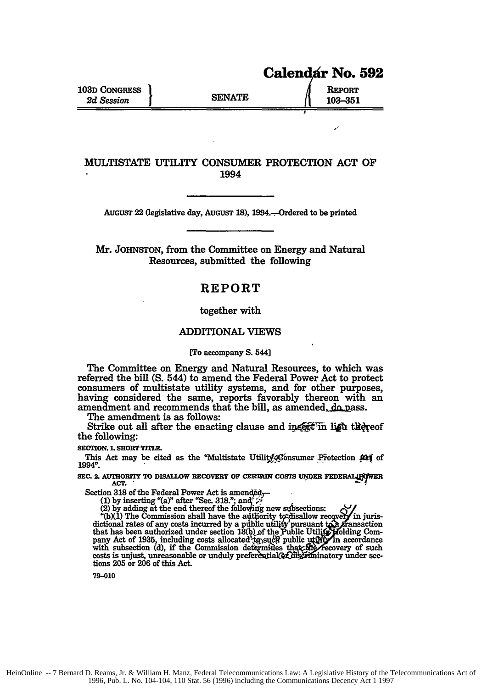#### **Calendar No. 592 103D** CONGRESS **REPORT** *2d Session* **SENATE** 103-351

## MULTISTATE UTILITY **CONSUMER** PROTECTION **ACT** OF 1994

AuGuSr 22 (legislative day, AUGUST **18),** 1994.--Ordered to be printed

Mr. JOHNSTON, from the Committee on Energy and Natural Resources, submitted the following

## REPORT

## together with

## ADDITIONAL VIEWS

#### [To accompany **S.** 544]

The Committee on Energy and Natural Resources, to which was referred the bill **(S.** 544) to amend the Federal Power Act to protect consumers of multistate utility systems, and for other purposes, having considered the same, reports favorably thereon with an amendment and recommends that the bill, as amended, do pass.

The amendment is as follows:

Strike out all after the enacting clause and insert in light thereof the following:

SECTION. 1. SHORT TITLE.

This Act may be cited as the "Multistate Utility<sup>7</sup>4Consumer Protection **ft f** of 1994".

SEC. 2. AUTHORITY TO DISALLOW RECOVERY OF CERTAIN COSTS UNDER FEDERAL POWER **ACT.**

Section 318 of the Federal Power Act is amended-

**(1) by** inserting "(a)" after "Sec. **318."; an** (2) **by** adding at the end thereof the follovthrg new sibsections: **,-/**

**"(bXl)** The Commission shall have the **a'ilority** tpisallow rec ye in juris- dictional rates of any costs incurred **by** a **pblic** utility **pursuant tl** action that has been authorized under section 13(b) of the Public Utility Holding Company Act of 1935, including costs allocated tg;such public utility in accordance with subsection (d), if the Commission determines that the reco what subsection (a), in the commission determines that into recovery or such that is unjust, unreasonable or unduly preferential **of this sec-** tions 205 or 206 of this Act.

**79-010**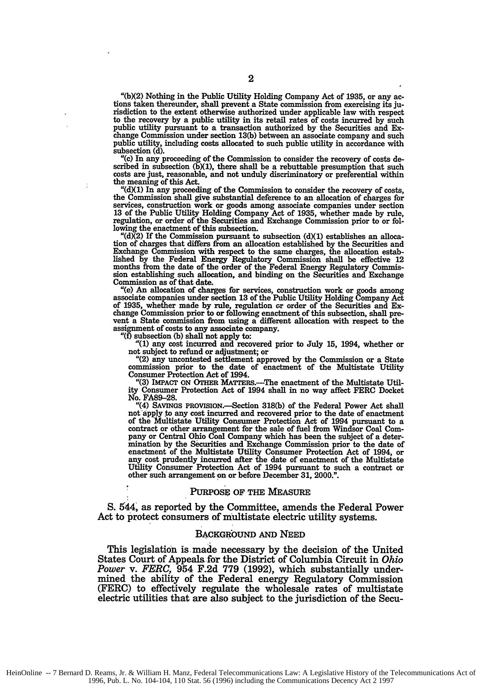**"(bX2)** Nothing in the Public Utility Holding Company Act of **1935,** or any ac- tions taken thereunder, shall prevent a State commission from exercising its jurisdiction to the extent otherwise authorized under applicable law with respect to the recovery **by** a public utility in its retail rates of costs incurred **by** such public utility pursuant to a transaction authorized **by** the Securities and Exchange Commission under section **13(b)** between an associate company and such public utility, including costs allocated to such public utility in accordance with subsection **(d).**

"(c) In any proceeding of the Commission to consider the recovery of costs described in subsection **(bXL),** there shall be a rebuttable presumption that such costs are just, reasonable, and not unduly discriminatory or preferential within the meaning of this Act.

**"(dXl)** In any proceeding of the Commission to consider the recovery of costs, the Commission shall give substantial deference to an allocation of charges for services, construction work or goods among associate companies under section **13** of the Public Utility Holding Company Act of **1935,** whether made **by** rule, regulation, or order of the Securities and Exchange Commission prior to or following the enactment of this subsection.<br>"(d)(2) If the Commission pursuant to subsection **(d)(1)** establishes an alloca-

tion of charges that differs from an allocation established **by** the Securities and Exchange Commission with respect to the same charges, the allocation established **by** the Federal Energy Regulatory Commission shall be effective 12 months from the date of the order of the Federal Energy Regulatory Commis-sion establishing such allocation, and binding on the Securities and Exchange Commission as of that date.

"(e) An allocation of charges for services, construction work or goods among associate companies under section **13** of the Public Utility Holding Company Act of 1935, whether made by rule, regulation or order of the Securities and Ex-<br>change Commission prior to or following enactment of this subsection, shall pre-<br>vent a State commission from using a different allocation with r assignment of costs to any associate company.

**"(f)** subsection **(b)** shall not apply to: **'(1)** any cost incurred and recovered prior to July **15,** 1994, whether or not subject to refund or adjustment; or "(2) any uncontested settlement approved **by** the Commission or a State

commission prior to the date of enactment of the Multistate Utility Consumer Protection Act of 1994.

"(3) IMPACT ON OTHER MATTERS.--- The enactment of the Multistate Utility Consumer Protection Act of 1994 shall in no way affect FERC Docket No. **FA89-28.**

"(4) SAVINGS PROVISION.-Section **318(b)** of the Federal Power Act shall not apply to any cost incurred and recovered prior to the date of enactment of the Multistate Utility Consumer Protection Act of 1994 pursuant to a contract or other arrangement for the sale of fuel from Windsor Coal Comcontract or other arrangement for the sale of fuel from Windsor Coal Company or Central Ohio Coal Company which has been the subject of a determination **by** the Securities and Exchange Commission prior to the date of enactment of the Multistate Utility Consumer Protection Act of 1994, or any cost prudently incurred after the date of enactment of the Multistate Utility Consumer Protection Act of 1994 pursuant to such a contract or other such arrangement on or before December **31,** 2000.".

## PURPOSE OF THE **MEASURE**

**S.** 644, as reported **by** the Committee, amends the Federal Power Act to protect consumers of multistate electric utility systems.

## BACKGROUND **AND NEED**

This legislation **is.** made necessary **by** the decision of the United States Court of Appeals for the District of Columbia Circuit in *Ohio Power v. FERC,* 954 **F.2d 779 (1992),** which substantially under- mined the ability of the Federal energy Regulatory Commission (FERC) to effectively regulate the wholesale rates of multistate electric utilities that are also subject to the jurisdiction of the Secu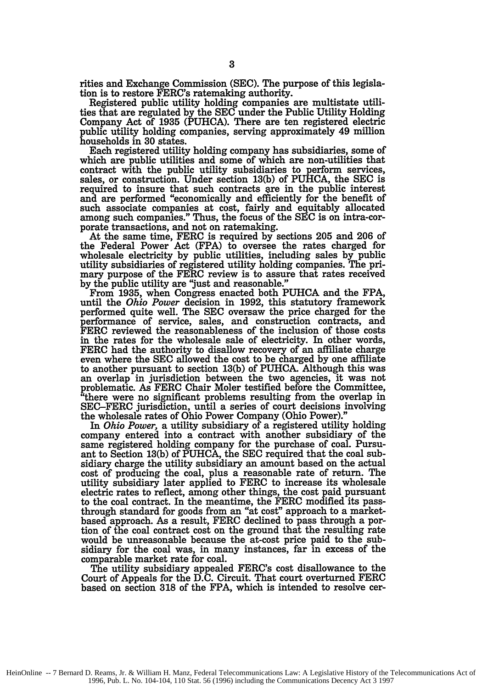rities and Exchange Commission **(SEC).** The purpose of this legisla- tion is to restore FERC's ratemaking authority.

Registered public utility holding companies are multistate utilities that are regulated **by** the **SEC** under the Public Utility Holding Company Act of **1935 (PUHCA).** There are ten registered electric public utility holding companies, serving approximately 49 million households in **30** states.

Each registered utility holding company has subsidiaries, some of which are public utilities and some of which are non-utilities that contract with the public utility subsidiaries to perform services, sales, or construction. Under section **13(b)** of **PUHCA,** the **SEC** is required to insure that such contracts are in the public interest and are performed "economically and efficiently for the benefit of such associate companies at cost, fairly and equitably allocated among such companies." Thus, the focus of the **SEC** is on intra-cor-

porate transactions, and not on ratemaking. At the same time, FERC is required **by** sections **205** and **206** of the Federal Power Act **(FPA)** to oversee the rates charged for wholesale electricity **by** public utilities, including sales **by** public utility subsidiaries of registered utility holding companies. The primary purpose of the FERC review is to assure that rates received **by** the public utility are "just and reasonable."

From **1935,** when Congress enacted both **PUHCA** and the FPA, until the *Ohio Power* decision in **1992,** this statutory framework performed quite well. The **SEC** oversaw the price charged for the performance of service, sales, and construction contracts, and FERC reviewed the reasonableness of the inclusion of those costs in the rates for the wholesale sale of electricity. In other words, FERC had the authority to disallow recovery of an affiliate charge even where the **SEC** allowed the cost to be charged **by** one affiliate to another pursuant to section **13(b)** of **PUHCA.** Although this was an overlap in jurisdiction between the two agencies, it was not problematic. As FERC Chair Moler testified before the Committee, "there were no significant problems resulting from the overlap in **SEC-FERC** jurisdiction, until a series of court decisions involving the wholesale rates of Ohio Power Company (Ohio Power)."

In *Ohio Power,* a utility subsidiary of a registered utility holding company entered into a contract with another subsidiary of the same registered holding company for the purchase of coal. Pursuant to Section **13(b)** of **PUHCA,** the **SEC** required that the coal subsidiary charge the utility subsidiary an amount based on the actual cost of producing the coal, plus a reasonable rate of return. The utility subsidiary later applied to FERC to increase its wholesale electric rates to reflect, among other things, the cost paid pursuant to the coal contract. In the meantime, the FERC modified its passthrough standard for goods from an "at cost" approach to a marketbased approach. As a result, FERC declined to pass through a portion of the coal contract cost on the ground that the resulting rate would be unreasonable because the at-cost price paid to the subsidiary for the coal was, in many instances, far in excess of the comparable market rate for coal.

The utility subsidiary appealed FERC's cost disallowance to the Court of Appeals for the **D.C.** Circuit. That court overturned FERC based on section **318** of the FPA, which is intended to resolve cer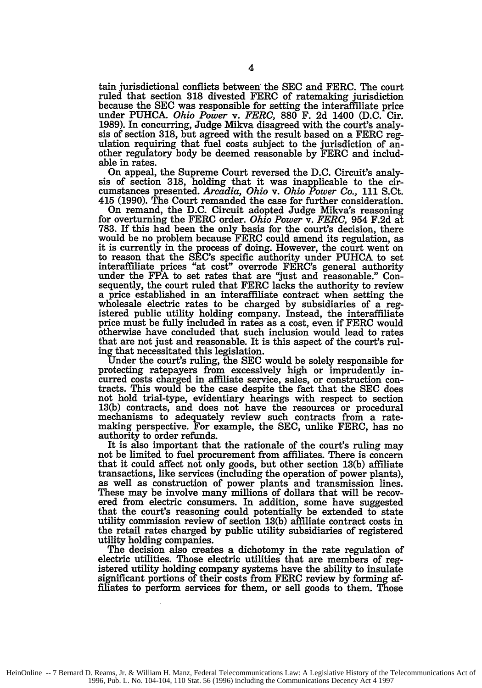tan jurisdictional conflicts between the **SEC** and FERC. The court ruled that section 318 divested FERC of ratemaking jurisdiction<br>because the SEC was responsible for setting the interaffiliate price<br>under PUHCA. *Ohio Power* v. *FERC*, 880 F. 2d 1400 (D.C. Cir.<br>1989). In concurring, Judg **1989).** In concurring, Judge Mikva disagreed with the court's analy- sis of section **318,** but agreed with the result based on a FERC reg- ulation requiring that fuel costs subject to the jurisdiction of another regulatory body be deemed reasonable by FERC and includable in rates.

On appeal, the Supreme Court reversed the D.C. Circuit's analy-<br>sis of section 318, holding that it was inapplicable to the circumstances presented. *Arcadia, Ohio v. Ohio Power Co.,* 111 S.Ct. 415 (1990). The Court remanded the case for further consideration.

On remand, the D.C. Circuit adopted Judge Mikva's reasoning for overturning the FERC order. *Ohio Power v. FERC,* 954 F.2d at 783. If this had been the only basis for the court's decision, there would be no problem because FERC could amend its regulation, as it is currently in the process of doing. However, the court went on to reason that the SEC's specific authority under PUHCA to set interaffiliate prices "at cost" overrode FERC's general authority under the FPA to set rates that are "just and reasonable." Consequently, the court ruled that FERC lacks the authority to review a price established in an interaffiliate contract when setting the wholesale electric rates to be charged by subsidiaries of a reg-<br>istered public utility holding company. Instead, the interaffiliate price must be fully included in rates as a cost, even if FERC would otherwise have concluded that such inclusion would lead to rates that are not just and reasonable. It is this aspect of the court's ruling that necessitated this legislation.

Under the court's ruling, the SEC would be solely responsible for protecting ratepayers from excessively high or imprudently incurred costs charged in affiliate service, sales, or construction contracts. This would be the case despite the fact that the SEC does not hold trial-type, evidentiary hearings with respect to section 13(b) contracts, and does not have the resources or procedural mechanisms to adequately review such contracts from a ratemaking perspective. For example, the SEC, unlike FERC, has no authority to order refunds.

It is also important that the rationale of the court's ruling may not be limited to fuel procurement from affiliates. There is concern that it could affect not only goods, but other section 13(b) affiliate transactions, like services (including the operation of power plants), as well as construction of power plants and transmission lines. These may be involve many millions of dollars that will be recovered from electric consumers. In addition, some have suggested that the court's reasoning could potentially be extended to state utility commission review of section 13(b) affiliate contract costs in

the retail rates charged by public utility subsidiaries of registered utility holding companies.<br>The decision also creates a dichotomy in the rate regulation of electric utilities. Those electric utilities that are members istered utility holding company systems have the ability to insulate significant portions of their costs from FERC review by forming affiliates to perform services for them, or sell goods to them. Those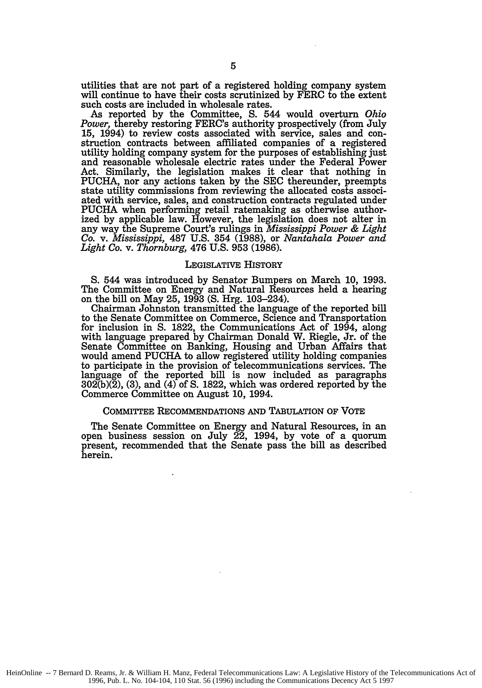utilities that are not part of a registered holding company system will continue to have their costs scrutinized **by** FERC to the extent such costs are included in wholesale rates.

As reported **by** the Committee, **S.** 544 would overturn *Ohio Power,* thereby restoring FERC's authority prospectively (from July **15,** 1994) to review costs associated with service, sales and construction contracts between affiliated companies of a registered utility holding company system for the purposes of establishing just and reasonable wholesale electric rates under the Federal Power Act. Similarly, the legislation makes it clear that nothing in **PUCHA,** nor any actions taken **by** the **SEC** thereunder, preempts state utility commissions from reviewing the allocated costs associated with service, sales, and construction contracts regulated under **PUCHA** when performing retail ratemaking as otherwise authorized **by** applicable law. However, the legislation does not alter in any way the Supreme Court's rulings in *Mississippi Power & Light Co. v. Mississippi,* 487 U.S. 354 (1988), or *Nantahala Power and Light Co. v. Thornburg,* 476 U.S. **953** (1986).

## **LEGISLATIVE HISTORY**

**S.** 544 was introduced **by** Senator Bumpers on March **10, 1993.** The Committee on Energy and Natural Resources held a hearing on the bill on May **25, 1993 (S.** Hrg. 103-234).

Chairman Johnston transmitted the language of the reported bill to the Senate Committee on Commerce, Science and Transportation for inclusion in **S. 1822,** the Communications Act of 1994, along with language prepared **by** Chairman Donald W. Riegle, Jr. of the Senate Committee on Banking, Housing and Urban Affairs that would amend **PUCHA** to allow registered utility holding companies to participate in the provision of telecommunications services. The language of the reported bill is now included as paragraphs **302(b)(2), (3),** and (4) of **S. 1822,** which was ordered reported **by** the Commerce Committee on August **10,** 1994.

## COMMITTEE RECOMMENDATIONS **AND** TABULATION OF VOTE

The Senate Committee on Energy and Natural Resources, in an open business session on July  $22$ , 1994, by vote of a quorum present, recommended that the Senate pass the bill as described herein.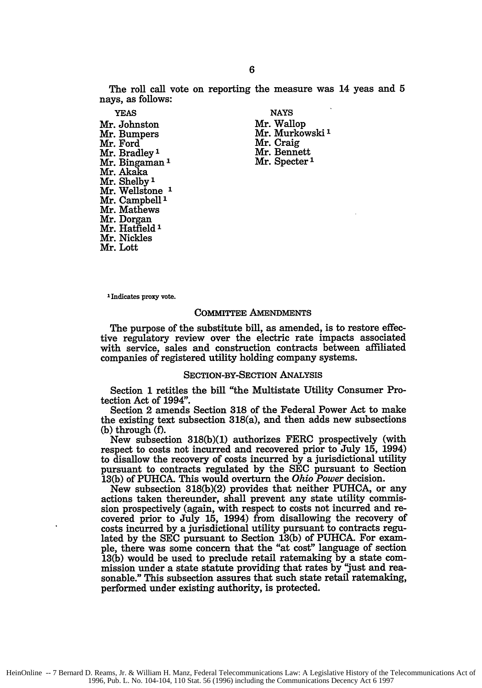The roll call vote on reporting the measure was 14 yeas and **5** nays, as follows:

**YEAS** NAYS Mr. Johnston Mr. Wallop<br>Mr. Bumpers Mr. Murkov Mr. Bradley Mr. Bennett Mr. Bingaman<sup>1</sup> Mr. Akaka Mr. Shelby<sup>1</sup> Mr. Wellstone<sup>1</sup> Mr. Campbell<sup>1</sup> Mr. Mathews Mr. Dorgan Mr. Hatfield<sup>1</sup> Mr. Nickles Mr. Lott

Mr. Bumpers Mr. Murkowski ' Mr. Craig<br>Mr. Bennett

**I** Indicates proxy vote.

## **COMMITrEE** AMENDMENTS

The purpose of the substitute bill, as amended, is to restore effective regulatory review over the electric rate impacts associated with service, sales and construction contracts between affiliated companies of registered utility holding company systems.

## SECTION-BY-SECTION ANALYSIS

Section 1 retitles the bill "the Multistate Utility Consumer Protection Act of 1994".

Section 2 amends Section **318** of the Federal Power Act to make the existing text subsection 318(a), and then adds new subsections (b) through **(f).**

New subsection 318(b)(1) authorizes FERC prospectively (with respect to costs not incurred and recovered prior to July 15, 1994) to disallow the recovery of costs incurred by a jurisdictional utility pursuant to contracts regulated by the SEC pursuant to Section 13(b) of PUHCA. This would overturn the *Ohio Power* decision.

New subsection 318(b)(2) provides that neither PUHCA, or any actions taken thereunder, shall prevent any state utility commission prospectively (again, with respect to costs not incurred and recovered prior to July **15,** 1994) from disallowing the recovery of costs incurred by a jurisdictional utility pursuant to contracts regulated by the **SEC** pursuant to Section **13(b)** of PUHCA. For example, there was some concern that the "at cost" language of section 13(b) would be used to preclude retail ratemaking by a state commission under a state statute providing that rates by "just and reasonable." This subsection assures that such state retail ratemaking, performed under existing authority, is protected.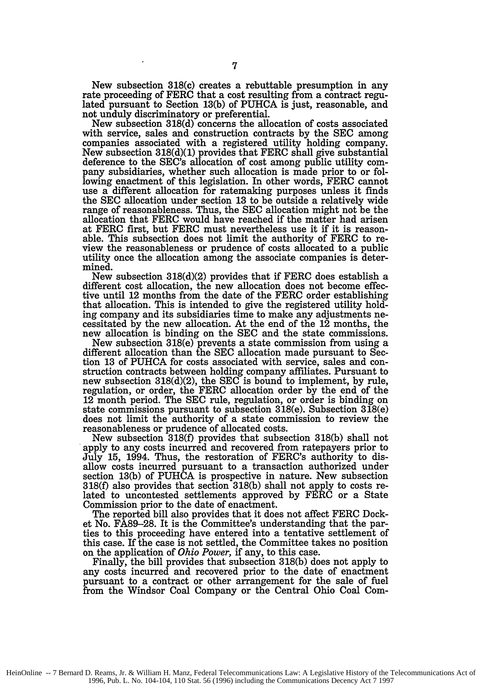New subsection 318(c) creates a rebuttable presumption in any rate proceeding of FERC that a cost resulting from a contract regulated pursuant to Section **13(b)** of **PUHCA** is just, reasonable, and not unduly discriminatory or preferential.

New subsection **318(d)** concerns the allocation of costs associated with service, sales and construction contracts **by** the **SEC** among companies associated with a registered utility holding company. New subsection **318(d)(1)** provides that FERC shall give substantial deference to the SEC's allocation of cost among public utility company subsidiaries, whether such allocation is made prior to or following enactment of this legislation. In other words, FERC cannot use a different allocation for ratemaking purposes unless it finds the **SEC** allocation under section **13** to be outside a relatively wide range of reasonableness. Thus, the **SEC** allocation might not be the allocation that FERC would have reached if the matter had arisen at FERC first, but FERC must nevertheless use it if it is reasonable. This subsection does not limit the authority of FERC to review the reasonableness or prudence of costs allocated to a public utility once the allocation among the associate companies is determined.

New subsection **318(d)(2)** provides that if FERC does establish a different cost allocation, the new allocation does not become effective until 12 months from the date of the FERC order establishing that allocation. This is intended to give the registered utility holding company and its subsidiaries time to make any adjustments necessitated **by** the new allocation. At the end of the 12 months, the new allocation is binding on the **SEC** and the state commissions.

New subsection 318(e) prevents a state commission from using a different allocation than the **SEC** allocation made pursuant to Section 13 of PUHCA for costs associated with service, sales and construction contracts between holding company affiliates. Pursuant to new subsection 318(d)(2), the SEC is bound to implement, by rule, regulation, or order, the FERC allocation order by the end of the 12 month period. The SEC rule, regulation, or order is binding on state commissions pursuant to subsection 318(e). Subsection 318(e) does not limit the authority of a state commission to review the reasonableness or prudence of allocated costs.

New subsection 318(f) provides that subsection 318(b) shall not apply to any costs incurred and recovered from ratepayers prior to July 15, 1994. Thus, the restoration of FERC's authority to disallow costs incurred pursuant to a transaction authorized under section 13(b) of PUHCA is prospective in nature. New subsection 318(f) also provides that section 318(b) shall not apply to costs related to uncontested settlements approved by FERC or a State Commission prior to the date of enactment.

The reported bill also provides that it does not affect FERC Docket No. FA89-28. It is the Committee's understanding that the parties to this proceeding have entered into a tentative settlement of this case. If the case is not settled, the Committee takes no position on the application of *Ohio Power,* if any, to this case.

Finally, the bill provides that subsection 318(b) does not apply to any costs incurred and recovered prior to the date of enactment pursuant to a contract or other arrangement for the sale of fuel from the Windsor Coal Company or the Central Ohio Coal Com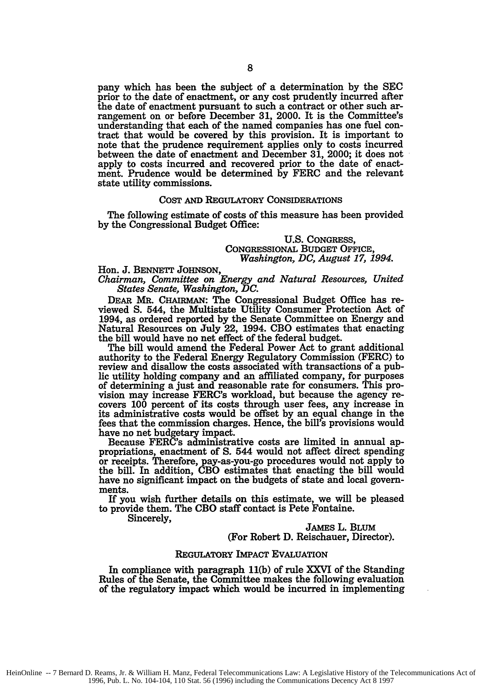pany which has been the subject of a determination **by** the **SEC** prior to the date of enactment, or any cost prudently incurred after the date of enactment pursuant to such a contract or other such arrangement on or before December **31,** 2000. It is the Committee's understanding that each of the named companies has one fuel contract that would be covered **by** this provision. It is important to note that the prudence requirement applies only to costs incurred between the date of enactment and December **31,** 2000; it does not apply to costs incurred and recovered prior to the date of enactment. Prudence would be determined **by** FERC and the relevant state utility commissions.

#### COST **AND** REGULATORY CONSIDERATIONS

The following estimate of costs of this measure has been provided **by** the Congressional Budget Office:

> U.S. CONGRESS, CONGRESSIONAL **BUDGET** OFFICE, *Washington, DC, August 17, 1994.*

Hon. J. **BENNETT** JOHNSON, *Chairman, Committee on Energy and Natural Resources, United States Senate, Washington, DC.*

**DEAR** MR. CHAIRMAN: The Congressional Budget Office has reviewed **S.** 544, the Multistate Utility Consumer Protection Act of 1994, as ordered reported by the Senate Committee on Energy and Natural Resources on July 22, 1994. CBO estimates that enacting the bill would have no net effect of the federal budget.

The bill would amend the Federal Power Act to grant additional authority to the Federal Energy Regulatory Commission (FERC) to review and disallow the costs associated with transactions of a public utility holding company and an affiliated company, for purposes of determining a just and reasonable rate for consumers. This pro- vision may increase FERC's workload, but because the agency revision may increase FERC's workload, but because the agency recovers 100 percent of its costs through user fees, any increase in its administrative costs would be offset by an equal change in the fees that the commission charges. Hence, the bill's provisions would have no net budgetary impact.

Because FERC's administrative costs are limited in annual appropriations, enactment of **S.** 544 would not affect direct spending or receipts. Therefore, pay-as-you-go procedures would not apply to the bill. In addition, CBO estimates that enacting the bill would have no significant impact on the budgets of state and local governments.

If you wish further details on this estimate, we will be pleased to provide them. The CBO staff contact is Pete Fontaine.

Sincerely, **JAMES L. BLUMPS L. BLUMPS** JAMES L. BLUM<br>(For Robert D. Reischauer, Director).

## **REGULATORY** IMPACT **EVALUATION**

In compliance with paragraph **11(b)** of rule XXVI of the Standing Rules of the Senate, the Committee makes the following evaluation of the regulatory impact which would be incurred in implementing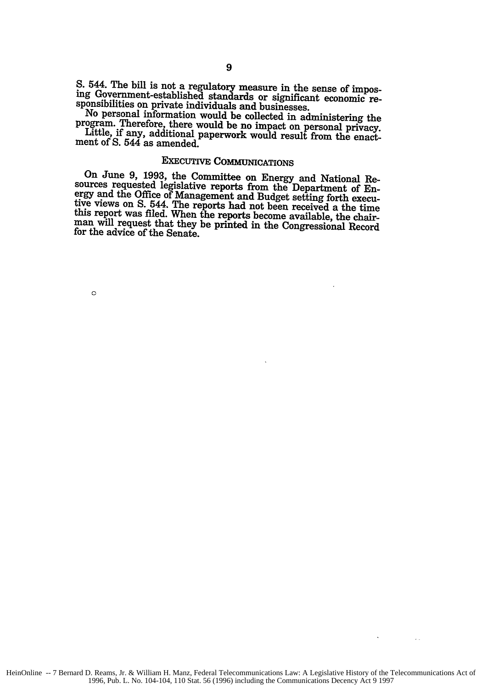S. 544. The bill is not a regulatory measure in the sense of imposing Government-established standards or significant economic responsibilities on private individuals and businesses.<br>No personal information would be collec

ment of **S.** 544 as amended.

## **EXECUTIVE COMMUNICATIONS**

On June **9, 1993,** the Committee on Energy and National Resources requested legislative reports from the Department of Energy and the Office of Management and Budget setting forth executive views on S. 544. The reports had not been received a the time this report was filed. When the reports become available, the chairman will request that they be printed in the Congressional Record for the advice of the Senate.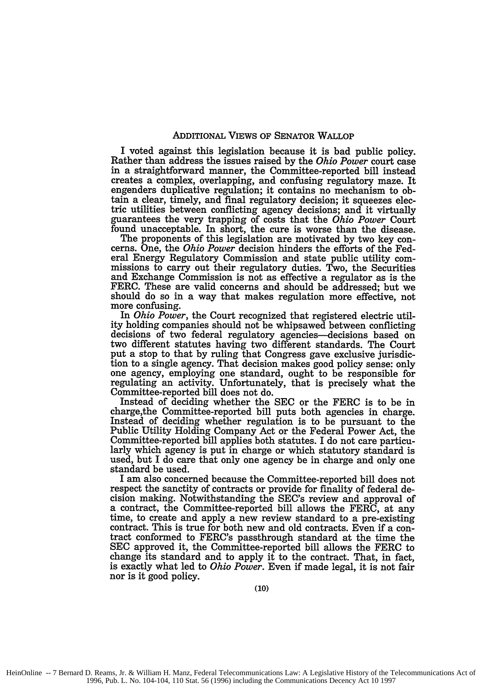## ADDITIONAL VIEWS OF SENATOR WALLOP

I voted against this legislation because it is bad public policy. Rather than address the issues raised **by** the *Ohio Power* court case in a straightforward manner, the Committee-reported bill instead creates a complex, overlapping, and confusing regulatory maze. It engenders duplicative regulation; it contains no mechanism to obtain a clear, timely, and final regulatory decision; it squeezes electric utilities between conflicting agency decisions; and it virtually guarantees the very trapping of costs that the *Ohio Power* Court found unacceptable. In short, the cure is worse than the disease.

The proponents of this legislation are motivated **by** two key concerns. One, the *Ohio Power* decision hinders the efforts of the Federal Energy Regulatory Commission and state public utility commissions to carry out their regulatory duties. Two, the Securities and Exchange Commission is not as effective a regulator as is the FERC. These are valid concerns and should be addressed; but we should do so in a way that makes regulation more effective, not

In *Ohio Power*, the Court recognized that registered electric utility holding companies should not be whipsawed between conflicting decisions of two federal regulatory agencies--decisions based on two different statutes having two different standards. The Court tion to a single agency. That decision makes good policy sense: only one agency, employing one standard, ought to be responsible for regulating an activity. Unfortunately, that is precisely what the Committee-reported **bill** does not do.

Instead of deciding whether the **SEC** or the FERC is to be in Instead of deciding whether regulation is to be pursuant to the Public Utility Holding Company Act or the Federal Power Act, the Committee-reported bill applies both statutes. I do not care particu- larly which agency is put in charge or which statutory standard is used, but **I** do care that only one agency be in charge and only one standard be used.

I am also concerned because the Committee-reported bill does not respect the sanctity of contracts or provide for finality of federal decision making. Notwithstanding the SEC's review and approval of time, to create and apply a new review standard to a pre-existing contract. This is true for both new and old contracts. Even if a contract conformed to FERC's passthrough standard at the time the **SEC** approved it, the Committee-reported bill allows the FERC to change its standard and to apply it to the contract. That, in fact, is exactly what led to *Ohio Power.* Even if made legal, it is not fair nor is it good policy.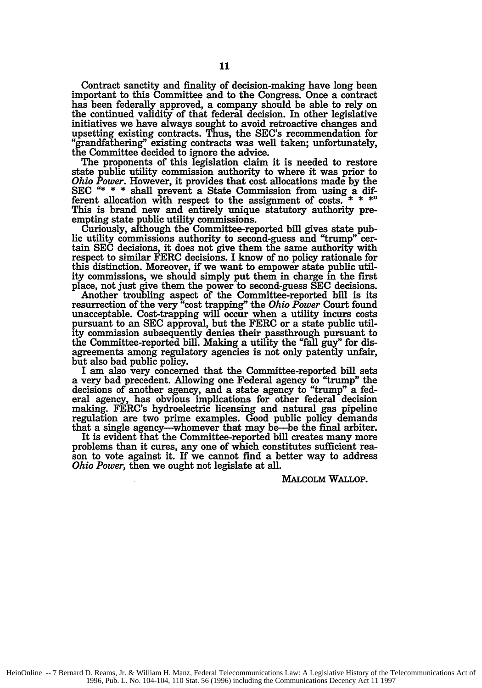Contract sanctity and finality of decision-making have long been important to this Committee and to the Congress. Once a contract has been federally approved, a company should be able to rely on the continued validity of that federal decision. In other legislative initiatives we have always sought to avoid retroactive changes and upsetting existing contracts. Thus, the **SEC's** recommendation for "grandfathering" existing contracts was well taken; unfortunately, **the Committee decided to ignore the advice.** The proponents of this legislation claim it is needed to restore

**state** public utility commission authority **to** where it was prior to *Ohio Power.* However, it provides that cost allocations made by the SEC *"\** \* \* shall prevent a State Commission from using a different allocation with respect to the assignment of costs. \* \* **\*"** This is brand new and entirely unique statutory authority preempting state public utility commissions.

Curiously, although the Committee-reported bill gives state public utility commissions authority to second-guess and "trump" certain **SEC** decisions, it does not give them the same authority with respect to similar FERC decisions. I know of no policy rationale for this distinction. Moreover, if we want to empower state public utility commissions, we should simply put them in charge in the first place, not just give them the power to second-guess SEC decisions.

Another troubling aspect of the Committee-reported bill is its resurrection of the very "cost trapping" the *Ohio Power* Court found unacceptable. Cost-trapping will occur when a utility incurs costs pursuant to an **SEC** approval, but the FERC or a state public utility commission subsequently denies their passthrough pursuant to the Committee-reported bill. Making a utility the "fall guy" for disagreements among regulatory agencies is not only patently unfair, but also bad public policy.

I am also very concerned that the Committee-reported bill sets a very bad precedent. Allowing one Federal agency to "trump" the decisions of another agency, and a state agency to "trump" a federal agency, has obvious implications for other federal decision making. FERC's hydroelectric licensing and natural gas pipeline regulation are two prime examples. Good public policy demands that a single agency-whomever that may be-be the final arbiter.

**It** is evident that the Committee-reported bill creates many more problems than it cures, any one of which constitutes sufficient reason to vote against it. If we cannot find a better way to address *Ohio Power,* then we ought not legislate at all.

MALCOLM WALLOP.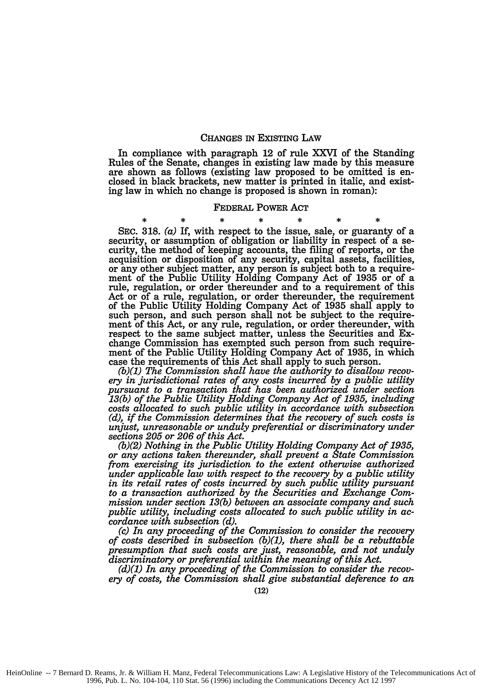## CHANGES IN EXISTING LAW

In compliance with paragraph 12 of rule **XXVI** of the Standing Rules of the Senate, changes in existing law made **by** this measure are shown as follows (existing law proposed to be omitted is enclosed in black brackets, new matter is printed in italic, and existing law in which no change is proposed is shown in roman):

#### FEDERAL POWER ACT

SEC. **318.** (a) If, with respect to the issue, sale, or guaranty of a security, or assumption of obligation or liability in respect of a security, the method of keeping accounts, the filing of reports, or the acquisition or disposition of any security, capital assets, facilities, or any other subject matter, any person is subject both to a requirement of the Public Utility Holding Company Act of **1935** or of a rule, regulation, or order thereunder and to a requirement of this Act or of a rule, regulation, or order thereunder, the requirement of the Public Utility Holding Company Act of **1935** shall apply to such person, and such person shall not be subject to the requirement of this Act, or any rule, regulation, or order thereunder, with respect to the same subject matter, unless the Securities and Exchange Commission has exempted such person from such requirement of the Public Utility Holding Company Act of **1935,** in which case the requirements of this Act shall apply to such person.

*(b)(1) The Commission shall have the authority to disallow recovery in jurisdictional rates of any costs incurred by a public utility pursuant to a transaction that has been authorized under section 13(b) of the Public Utility Holding Company Act of 1935, including costs allocated to such public utility in accordance with subsection (d), if the Commission determines that the recovery of such costs is unjust, unreasonable or unduly preferential or discriminatory under sections 205 or 206 of this Act.*

*(b)(2) Nothing in the Public Utility Holding Company Act of 1935, or any actions taken thereunder, shall prevent a State Commission from exercising its jurisdiction to the extent otherwise authorized under applicable law with respect to the recovery by a public utility in its retail rates of costs incurred by such public utility pursuant to a transaction authorized by the Securities and Exchange Commission under section 13(b) between an associate company and such public utility, including costs allocated to such public utility in accordance with subsection (d).*

*(c) In any proceeding of the Commission to consider the recovery of costs described in subsection (b)(1), there shall be a rebuttable presumption that such costs are just, reasonable, and not unduly discriminatory or preferential within the meaning of this Act.*

*(d)(1) In any proceeding of the Commission to consider the recovery of costs, the Commission shall give substantial deference to an*

 $(12)$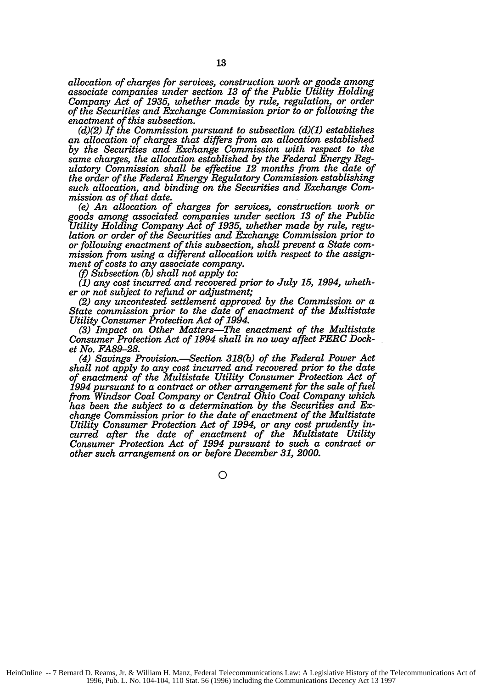*allocation of charges for services, construction work or goods among associate companies under section 13 of the Public Utility Holding Company Act of 1935, whether made by rule, regulation, or order of the Securities and Exchange Commission prior to or following the enactment of this subsection.*

*(d)(2) If the Commission pursuant to subsection (d)(1) establishes an allocation of charges that differs from an allocation established by the Securities and Exchange Commission with respect to the same charges, the allocation established by the Federal Energy Regulatory Commission shall be effective 12 months from the date of the order of the Federal Energy Regulatory Commission establishing such allocation, and binding on the Securities and Exchange Commission as of that date.*

*(e) An allocation of charges for services, construction work or goods among associated companies under section 13 of the Public Utility Holding Company Act of 1935, whether made by rule, regulation or order of the Securities and Exchange Commission prior to or following enactment of this subsection, shall prevent a State commission from using a different allocation with respect to the assignment of costs to any associate company.*

*(t) Subsection (b) shall not apply to:*

*(1) any cost incurred and recovered prior to July 15, 1994, whether or not subject to refund or adjustment;*

*(2) any uncontested settlement approved by the Commission or a State commission prior to the date of enactment of the Multistate Utility Consumer Protection Act of 1994.*

*(3) Impact on Other Matters-The enactment of the Multistate Consumer Protection Act of 1994 shall in no way affect FERC Docket No. FA89-28.*

*(4) Savings Provision.-Section 318(b) of the Federal Power Act shall not apply to any cost incurred and recovered prior to the date of enactment of the Multistate Utility Consumer Protection Act of 1994 pursuant to a contract or other arrangement for the sale of fuel from Windsor Coal Company or Central Ohio Coal Company which has been the subject to a determination by the Securities and Exchange Commission prior to the date of enactment of the Multistate Utility Consumer Protection Act of 1994, or any cost prudently incurred after the date of enactment of the Multistate Utility Consumer Protection Act of 1994 pursuant to such a contract or other such arrangement on or before December 31, 2000.*

O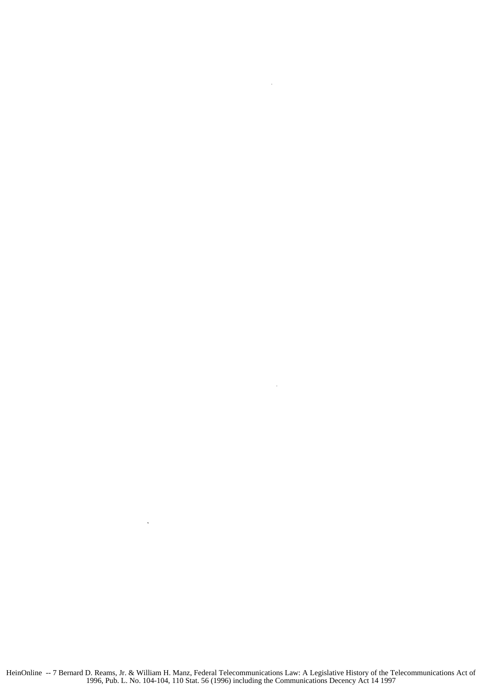HeinOnline -- 7 Bernard D. Reams, Jr. & William H. Manz, Federal Telecommunications Law: A Legislative History of the Telecommunications Act of 1996, Pub. L. No. 104-104, 110 Stat. 56 (1996) including the Communications Decency Act 14 1997

 $\sim$ 

 $\sim$ 

 $\sim$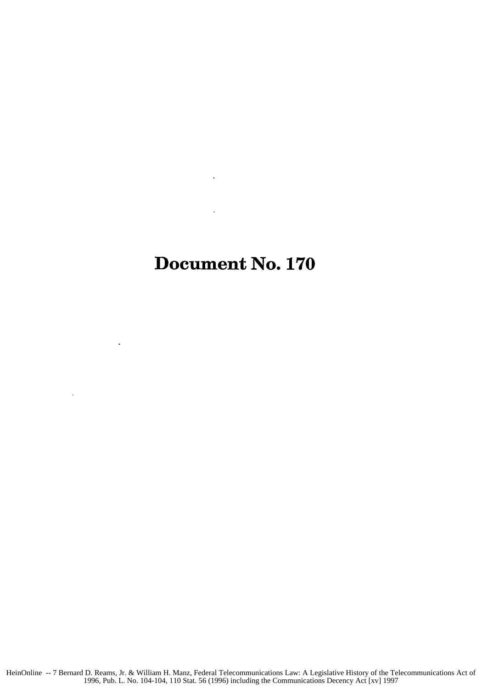## Document No. **170**

 $\sim 10^{-11}$ 

 $\sim$ 

**Carl Corporation**